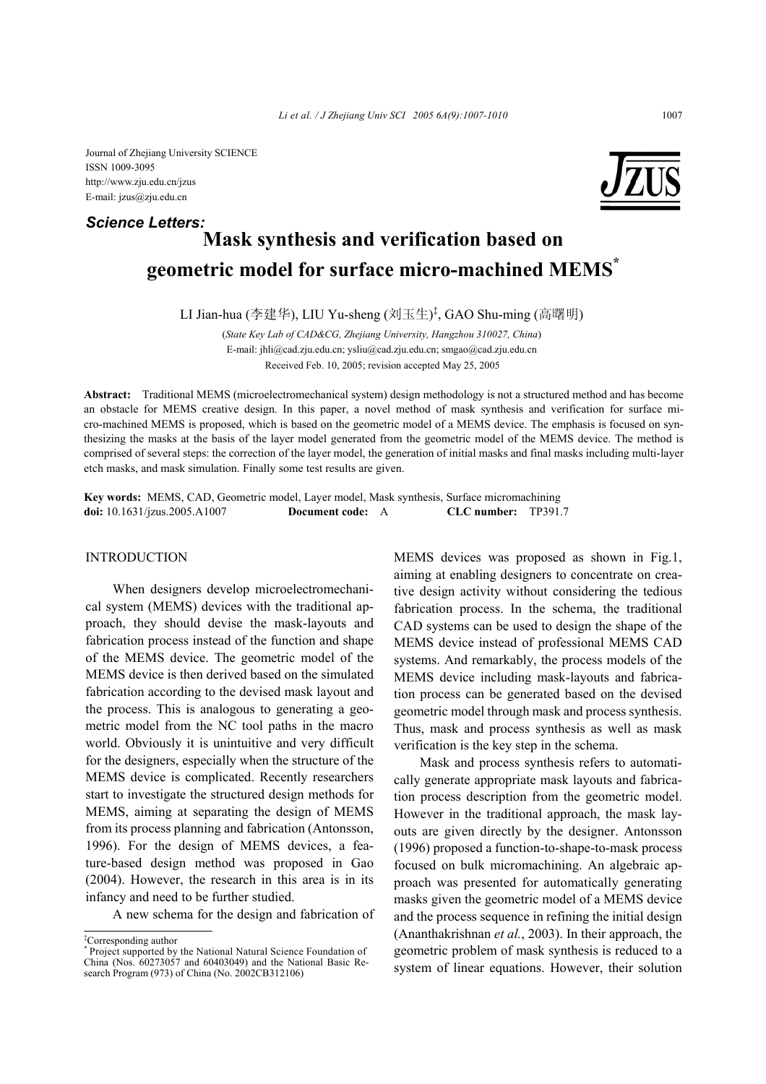Journal of Zhejiang University SCIENCE ISSN 1009-3095 http://www.zju.edu.cn/jzus E-mail: jzus@zju.edu.cn

## **Mask synthesis and verification based on geometric model for surface micro-machined MEMS\*** *Science Letters:*

LI Jian-hua (李建华), LIU Yu-sheng (刘玉生) ‡ , GAO Shu-ming (高曙明)

(*State Key Lab of CAD&CG, Zhejiang University, Hangzhou 310027, China*) E-mail: jhli@cad.zju.edu.cn; ysliu@cad.zju.edu.cn; smgao@cad.zju.edu.cn Received Feb. 10, 2005; revision accepted May 25, 2005

**Abstract:** Traditional MEMS (microelectromechanical system) design methodology is not a structured method and has become an obstacle for MEMS creative design. In this paper, a novel method of mask synthesis and verification for surface micro-machined MEMS is proposed, which is based on the geometric model of a MEMS device. The emphasis is focused on synthesizing the masks at the basis of the layer model generated from the geometric model of the MEMS device. The method is comprised of several steps: the correction of the layer model, the generation of initial masks and final masks including multi-layer etch masks, and mask simulation. Finally some test results are given.

**Key words:** MEMS, CAD, Geometric model, Layer model, Mask synthesis, Surface micromachining **doi:** 10.1631/jzus.2005.A1007 **Document code:** A **CLC number:** TP391.7

## INTRODUCTION

When designers develop microelectromechanical system (MEMS) devices with the traditional approach, they should devise the mask-layouts and fabrication process instead of the function and shape of the MEMS device. The geometric model of the MEMS device is then derived based on the simulated fabrication according to the devised mask layout and the process. This is analogous to generating a geometric model from the NC tool paths in the macro world. Obviously it is unintuitive and very difficult for the designers, especially when the structure of the MEMS device is complicated. Recently researchers start to investigate the structured design methods for MEMS, aiming at separating the design of MEMS from its process planning and fabrication (Antonsson, 1996). For the design of MEMS devices, a feature-based design method was proposed in Gao (2004). However, the research in this area is in its infancy and need to be further studied.

A new schema for the design and fabrication of

MEMS devices was proposed as shown in Fig.1, aiming at enabling designers to concentrate on creative design activity without considering the tedious fabrication process. In the schema, the traditional CAD systems can be used to design the shape of the MEMS device instead of professional MEMS CAD systems. And remarkably, the process models of the MEMS device including mask-layouts and fabrication process can be generated based on the devised geometric model through mask and process synthesis. Thus, mask and process synthesis as well as mask verification is the key step in the schema.

Mask and process synthesis refers to automatically generate appropriate mask layouts and fabrication process description from the geometric model. However in the traditional approach, the mask layouts are given directly by the designer. Antonsson (1996) proposed a function-to-shape-to-mask process focused on bulk micromachining. An algebraic approach was presented for automatically generating masks given the geometric model of a MEMS device and the process sequence in refining the initial design (Ananthakrishnan *et al.*, 2003). In their approach, the geometric problem of mask synthesis is reduced to a system of linear equations. However, their solution



<sup>‡</sup> Corresponding author \* Project supported by the National Natural Science Foundation of China (Nos. 60273057 and 60403049) and the National Basic Research Program (973) of China (No. 2002CB312106)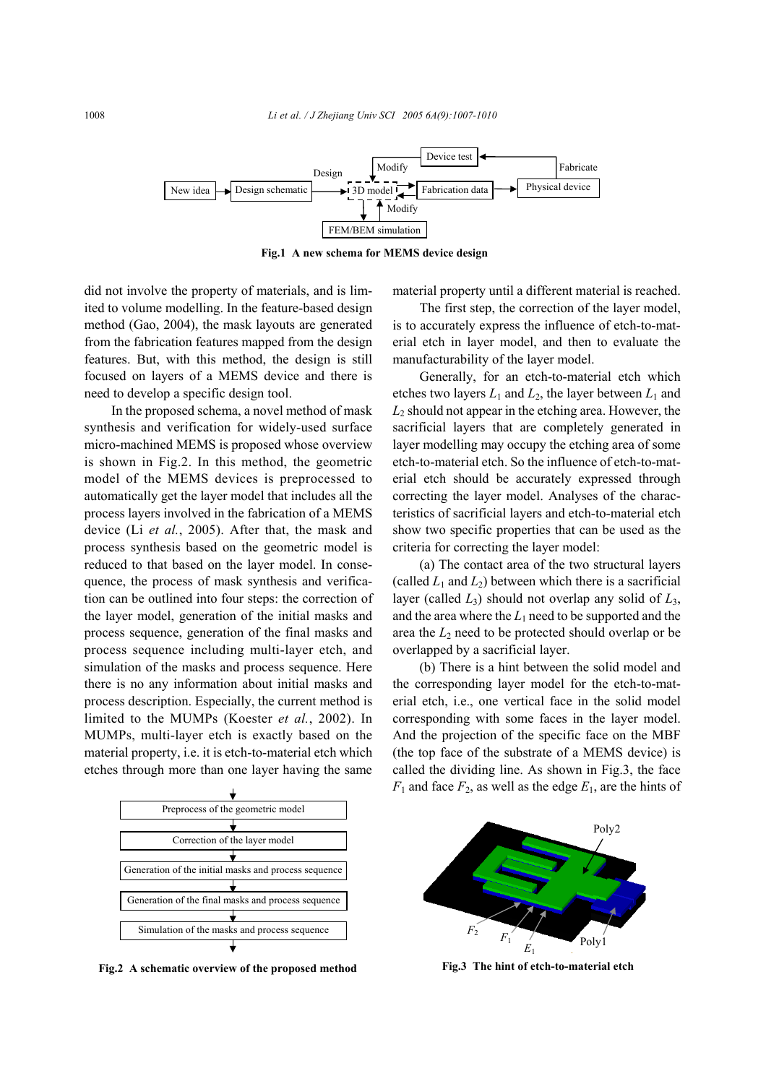

**Fig.1 A new schema for MEMS device design**

did not involve the property of materials, and is limited to volume modelling. In the feature-based design method (Gao, 2004), the mask layouts are generated from the fabrication features mapped from the design features. But, with this method, the design is still focused on layers of a MEMS device and there is need to develop a specific design tool.

In the proposed schema, a novel method of mask synthesis and verification for widely-used surface micro-machined MEMS is proposed whose overview is shown in Fig.2. In this method, the geometric model of the MEMS devices is preprocessed to automatically get the layer model that includes all the process layers involved in the fabrication of a MEMS device (Li *et al.*, 2005). After that, the mask and process synthesis based on the geometric model is reduced to that based on the layer model. In consequence, the process of mask synthesis and verification can be outlined into four steps: the correction of the layer model, generation of the initial masks and process sequence, generation of the final masks and process sequence including multi-layer etch, and simulation of the masks and process sequence. Here there is no any information about initial masks and process description. Especially, the current method is limited to the MUMPs (Koester *et al.*, 2002). In MUMPs, multi-layer etch is exactly based on the material property, i.e. it is etch-to-material etch which etches through more than one layer having the same



**Fig.2 A schematic overview of the proposed method** 

material property until a different material is reached.

The first step, the correction of the layer model, is to accurately express the influence of etch-to-material etch in layer model, and then to evaluate the manufacturability of the layer model.

Generally, for an etch-to-material etch which etches two layers  $L_1$  and  $L_2$ , the layer between  $L_1$  and *L*2 should not appear in the etching area. However, the sacrificial layers that are completely generated in layer modelling may occupy the etching area of some etch-to-material etch. So the influence of etch-to-material etch should be accurately expressed through correcting the layer model. Analyses of the characteristics of sacrificial layers and etch-to-material etch show two specific properties that can be used as the criteria for correcting the layer model:

(a) The contact area of the two structural layers (called  $L_1$  and  $L_2$ ) between which there is a sacrificial layer (called *L*3) should not overlap any solid of *L*3, and the area where the  $L_1$  need to be supported and the area the *L*2 need to be protected should overlap or be overlapped by a sacrificial layer.

(b) There is a hint between the solid model and the corresponding layer model for the etch-to-material etch, i.e., one vertical face in the solid model corresponding with some faces in the layer model. And the projection of the specific face on the MBF (the top face of the substrate of a MEMS device) is called the dividing line. As shown in Fig.3, the face  $F_1$  and face  $F_2$ , as well as the edge  $E_1$ , are the hints of



**Fig.3 The hint of etch-to-material etch**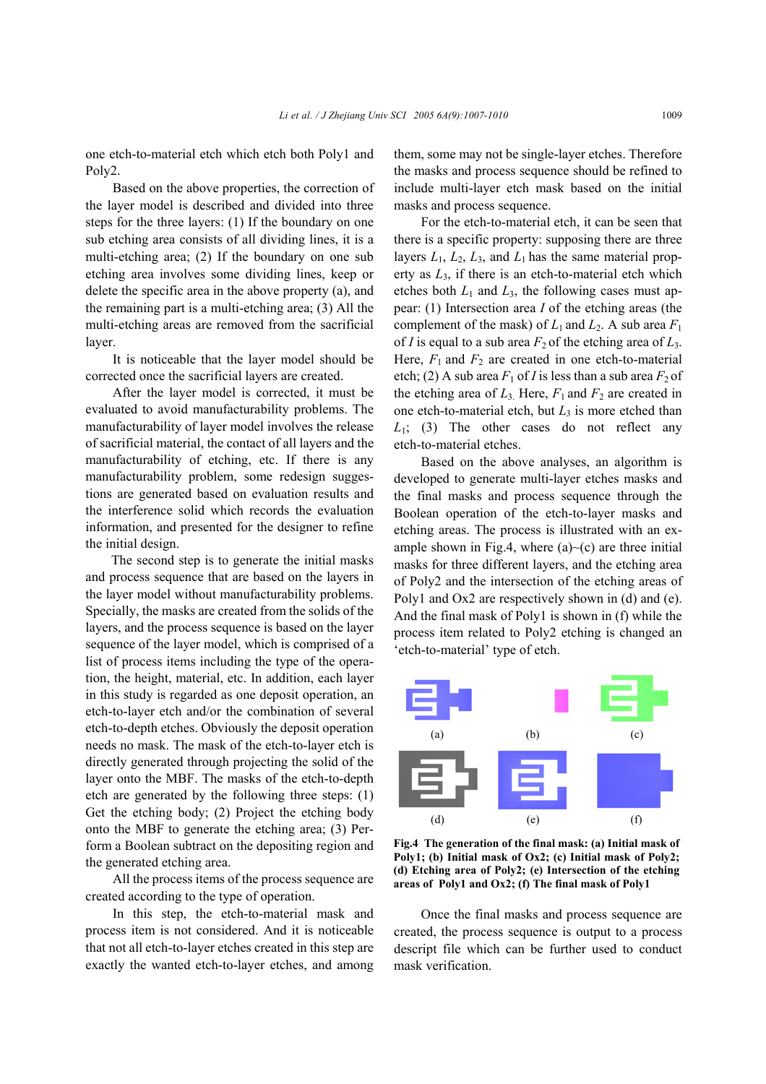one etch-to-material etch which etch both Poly1 and Poly2.

Based on the above properties, the correction of the layer model is described and divided into three steps for the three layers: (1) If the boundary on one sub etching area consists of all dividing lines, it is a multi-etching area; (2) If the boundary on one sub etching area involves some dividing lines, keep or delete the specific area in the above property (a), and the remaining part is a multi-etching area; (3) All the multi-etching areas are removed from the sacrificial layer.

It is noticeable that the layer model should be corrected once the sacrificial layers are created.

After the layer model is corrected, it must be evaluated to avoid manufacturability problems. The manufacturability of layer model involves the release of sacrificial material, the contact of all layers and the manufacturability of etching, etc. If there is any manufacturability problem, some redesign suggestions are generated based on evaluation results and the interference solid which records the evaluation information, and presented for the designer to refine the initial design.

The second step is to generate the initial masks and process sequence that are based on the layers in the layer model without manufacturability problems. Specially, the masks are created from the solids of the layers, and the process sequence is based on the layer sequence of the layer model, which is comprised of a list of process items including the type of the operation, the height, material, etc. In addition, each layer in this study is regarded as one deposit operation, an etch-to-layer etch and/or the combination of several etch-to-depth etches. Obviously the deposit operation needs no mask. The mask of the etch-to-layer etch is directly generated through projecting the solid of the layer onto the MBF. The masks of the etch-to-depth etch are generated by the following three steps: (1) Get the etching body; (2) Project the etching body onto the MBF to generate the etching area; (3) Perform a Boolean subtract on the depositing region and the generated etching area.

All the process items of the process sequence are created according to the type of operation.

In this step, the etch-to-material mask and process item is not considered. And it is noticeable that not all etch-to-layer etches created in this step are exactly the wanted etch-to-layer etches, and among them, some may not be single-layer etches. Therefore the masks and process sequence should be refined to include multi-layer etch mask based on the initial masks and process sequence.

For the etch-to-material etch, it can be seen that there is a specific property: supposing there are three layers  $L_1$ ,  $L_2$ ,  $L_3$ , and  $L_1$  has the same material property as *L*3, if there is an etch-to-material etch which etches both  $L_1$  and  $L_3$ , the following cases must appear: (1) Intersection area *I* of the etching areas (the complement of the mask) of  $L_1$  and  $L_2$ . A sub area  $F_1$ of *I* is equal to a sub area  $F_2$  of the etching area of  $L_3$ . Here,  $F_1$  and  $F_2$  are created in one etch-to-material etch; (2) A sub area  $F_1$  of *I* is less than a sub area  $F_2$  of the etching area of  $L_3$ . Here,  $F_1$  and  $F_2$  are created in one etch-to-material etch, but  $L_3$  is more etched than *L*1; (3) The other cases do not reflect any etch-to-material etches.

Based on the above analyses, an algorithm is developed to generate multi-layer etches masks and the final masks and process sequence through the Boolean operation of the etch-to-layer masks and etching areas. The process is illustrated with an example shown in Fig.4, where  $(a)$   $\sim$   $(c)$  are three initial masks for three different layers, and the etching area of Poly2 and the intersection of the etching areas of Poly1 and Ox2 are respectively shown in (d) and (e). And the final mask of Poly1 is shown in (f) while the process item related to Poly2 etching is changed an 'etch-to-material' type of etch.



**Fig.4 The generation of the final mask: (a) Initial mask of Poly1; (b) Initial mask of Ox2; (c) Initial mask of Poly2; (d) Etching area of Poly2; (e) Intersection of the etching areas of Poly1 and Ox2; (f) The final mask of Poly1** 

Once the final masks and process sequence are created, the process sequence is output to a process descript file which can be further used to conduct mask verification.